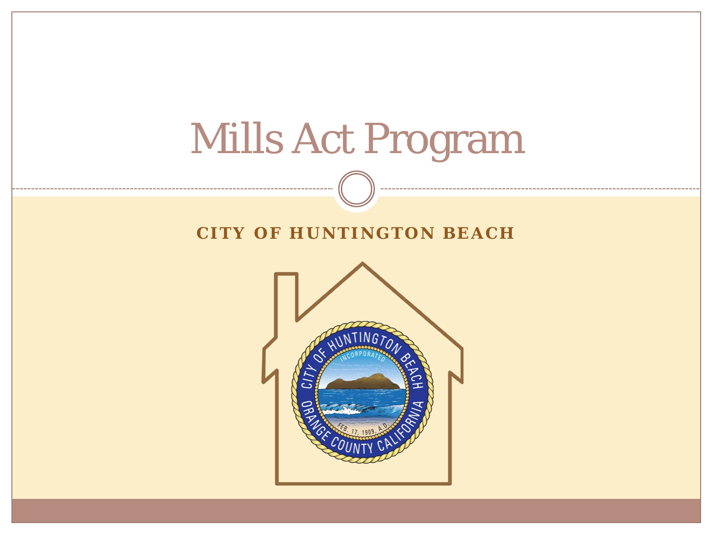

#### **CITY OF HUNTINGTON BEACH**

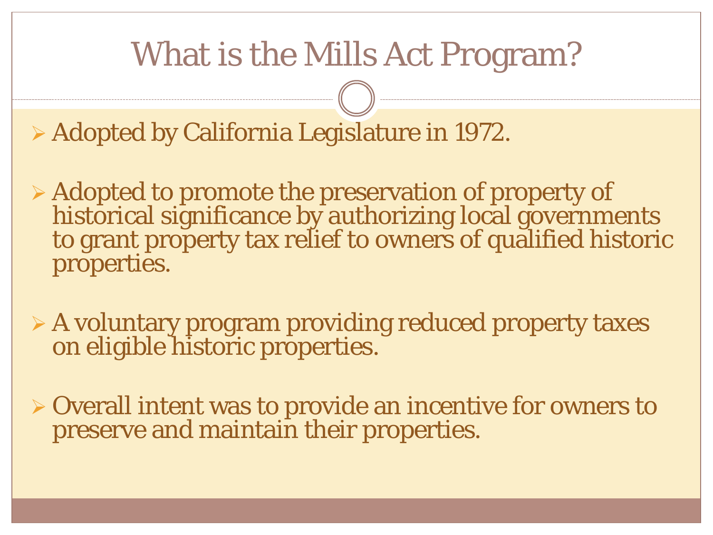## What is the Mills Act Program?

Adopted by California Legislature in 1972.

 Adopted to promote the preservation of property of historical significance by authorizing local governments to grant property tax relief to owners of qualified historic properties.

 A voluntary program providing reduced property taxes on eligible historic properties.

 Overall intent was to provide an incentive for owners to preserve and maintain their properties.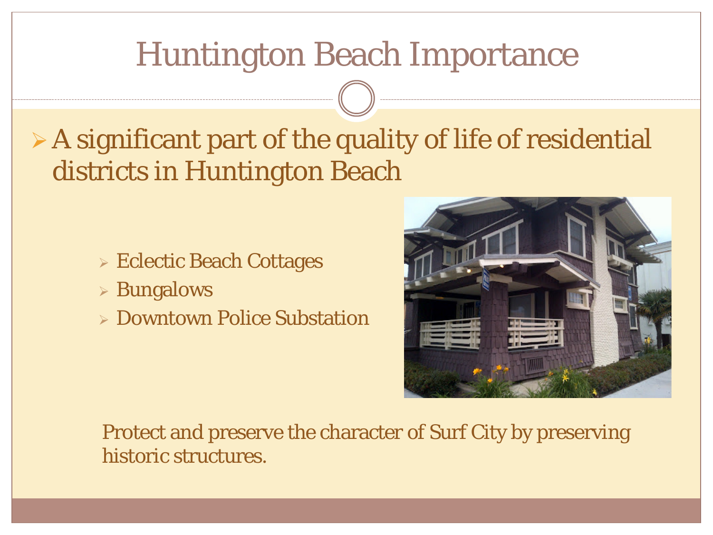#### Huntington Beach Importance

#### $\triangleright$  A significant part of the quality of life of residential districts in Huntington Beach

- **Eclectic Beach Cottages**
- Bungalows
- Downtown Police Substation



Protect and preserve the character of Surf City by preserving historic structures.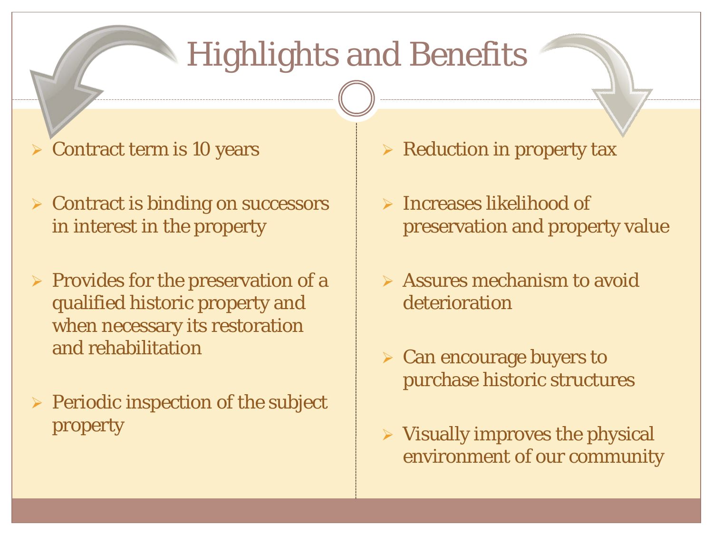# Highlights and Benefits

- $\triangleright$  Contract term is 10 years
- $\triangleright$  Contract is binding on successors in interest in the property
- $\triangleright$  Provides for the preservation of a qualified historic property and when necessary its restoration and rehabilitation
- $\triangleright$  Periodic inspection of the subject property
- $\triangleright$  Reduction in property tax
- $\triangleright$  Increases likelihood of preservation and property value
- Assures mechanism to avoid deterioration
- $\triangleright$  Can encourage buyers to purchase historic structures
- $\triangleright$  Visually improves the physical environment of our community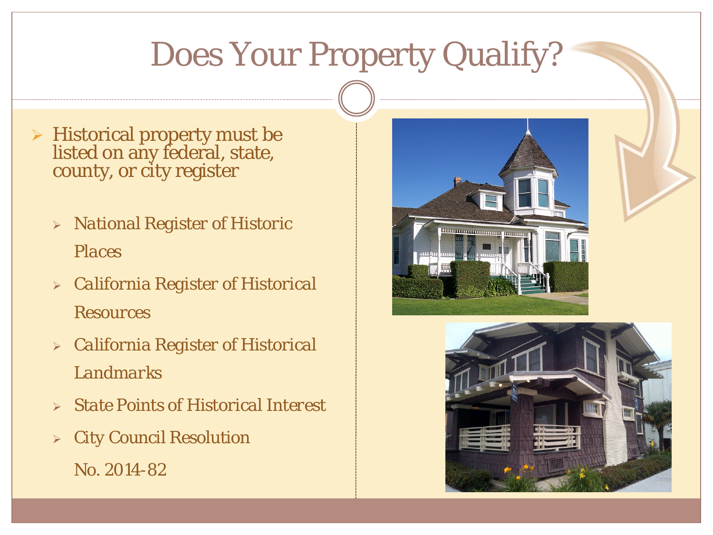## Does Your Property Qualify?

- $\triangleright$  Historical property must be listed on any federal, state, county, or city register
	- *National Register of Historic Places*
	- *California Register of Historical Resources*
	- *California Register of Historical Landmarks*
	- *State Points of Historical Interest*
	- *City Council Resolution No. 2014-82*



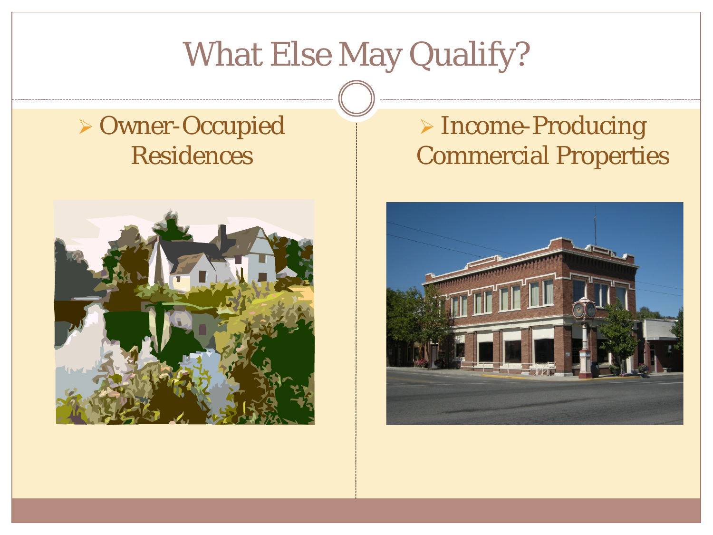## What Else May Qualify?

#### Owner-Occupied Residences



#### > Income-Producing Commercial Properties

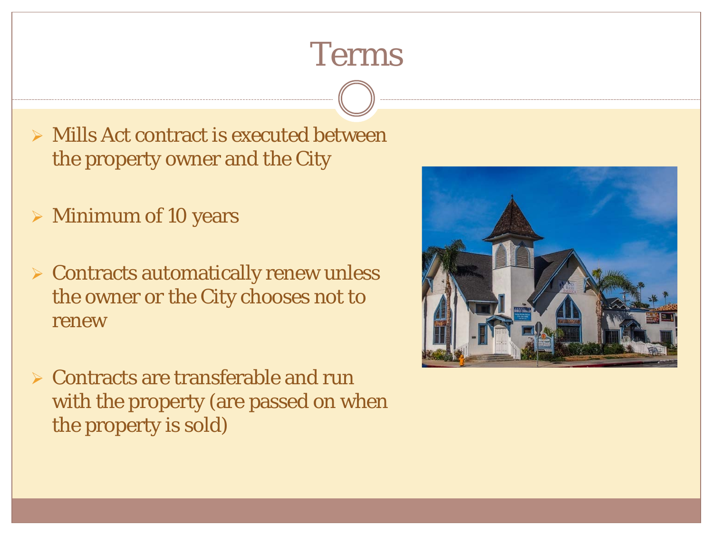## Terms

- $\triangleright$  Mills Act contract is executed between the property owner and the City
- $\triangleright$  Minimum of 10 years
- $\triangleright$  Contracts automatically renew unless the owner or the City chooses not to renew
- $\triangleright$  Contracts are transferable and run with the property (are passed on when the property is sold)

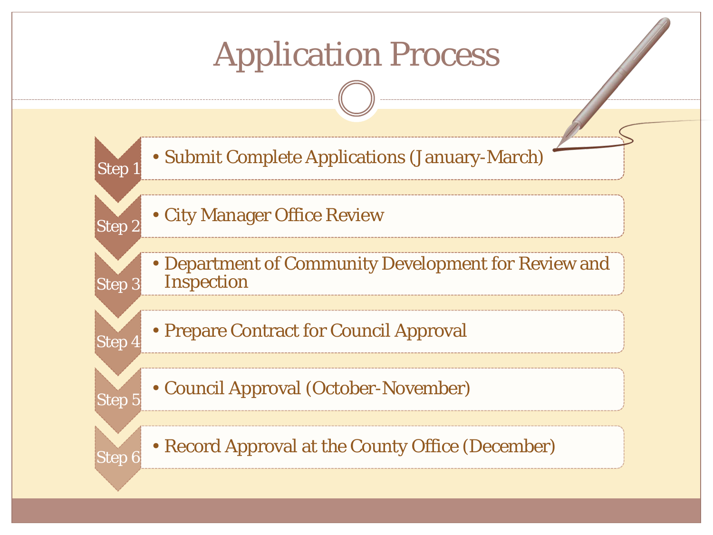